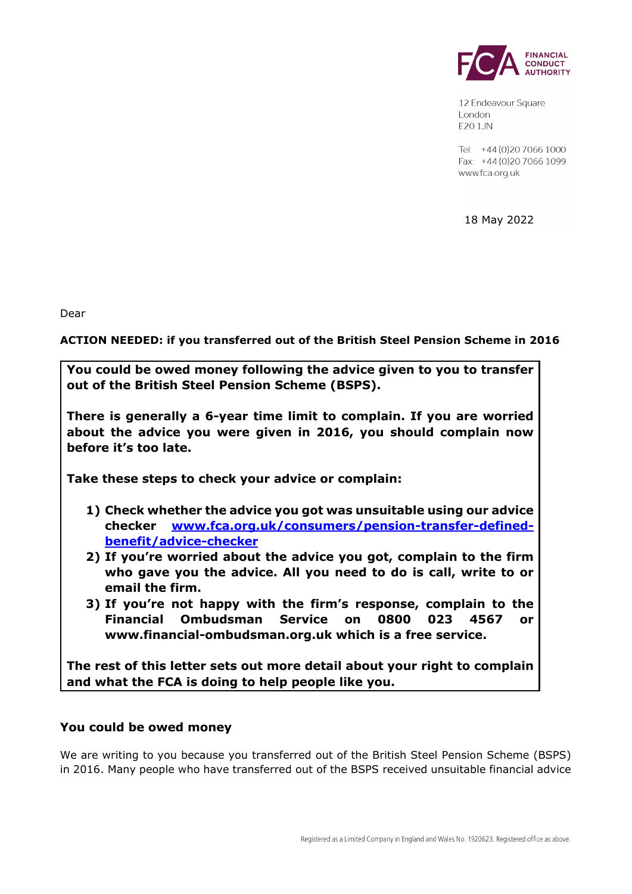

12 Endeavour Square London F201JN

Tel: +44 (0) 20 7066 1000 Fax: +44 (0) 20 7066 1099 www.fca.org.uk

18 May 2022

Dear

**ACTION NEEDED: if you transferred out of the British Steel Pension Scheme in 2016**

**You could be owed money following the advice given to you to transfer out of the British Steel Pension Scheme (BSPS).** 

**There is generally a 6-year time limit to complain. If you are worried about the advice you were given in 2016, you should complain now before it's too late.** 

**Take these steps to check your advice or complain:** 

- **1) Check whether the advice you got was unsuitable using our advice checker www.fca.org.uk/consumers/pension-transfer-definedbenefit/advice-checker**
- **2) If you're worried about the advice you got, complain to the firm who gave you the advice. All you need to do is call, write to or email the firm.**
- **3) If you're not happy with the firm's response, complain to the Financial Ombudsman Service on 0800 023 4567 or www.financial-ombudsman.org.uk which is a free service.**

**The rest of this letter sets out more detail about your right to complain and what the FCA is doing to help people like you.**

## **You could be owed money**

We are writing to you because you transferred out of the British Steel Pension Scheme (BSPS) in 2016. Many people who have transferred out of the BSPS received unsuitable financial advice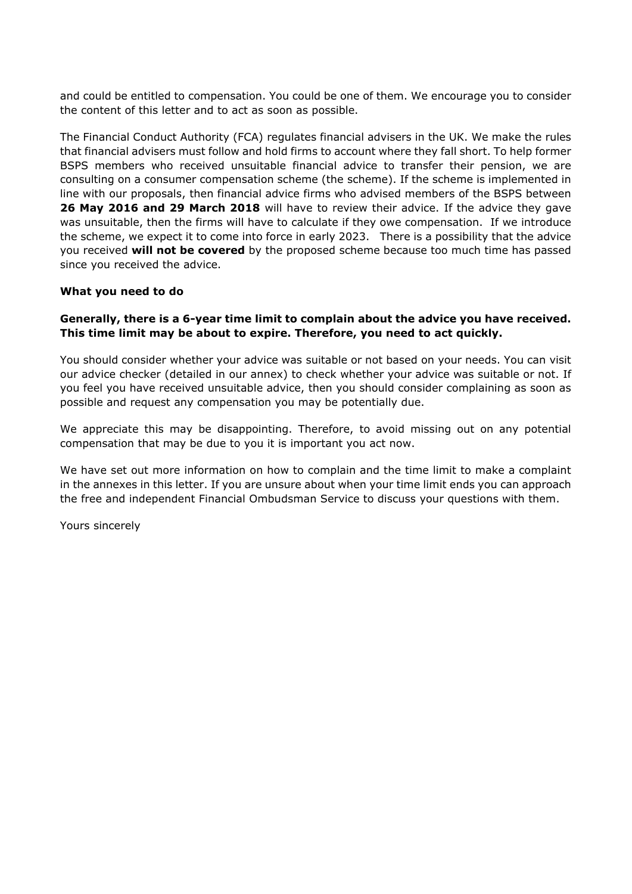and could be entitled to compensation. You could be one of them. We encourage you to consider the content of this letter and to act as soon as possible.

The Financial Conduct Authority (FCA) regulates financial advisers in the UK. We make the rules that financial advisers must follow and hold firms to account where they fall short. To help former BSPS members who received unsuitable financial advice to transfer their pension, we are consulting on a consumer compensation scheme (the scheme). If the scheme is implemented in line with our proposals, then financial advice firms who advised members of the BSPS between **26 May 2016 and 29 March 2018** will have to review their advice. If the advice they gave was unsuitable, then the firms will have to calculate if they owe compensation. If we introduce the scheme, we expect it to come into force in early 2023. There is a possibility that the advice you received **will not be covered** by the proposed scheme because too much time has passed since you received the advice.

### **What you need to do**

## **Generally, there is a 6-year time limit to complain about the advice you have received. This time limit may be about to expire. Therefore, you need to act quickly.**

You should consider whether your advice was suitable or not based on your needs. You can visit our advice checker (detailed in our annex) to check whether your advice was suitable or not. If you feel you have received unsuitable advice, then you should consider complaining as soon as possible and request any compensation you may be potentially due.

We appreciate this may be disappointing. Therefore, to avoid missing out on any potential compensation that may be due to you it is important you act now.

We have set out more information on how to complain and the time limit to make a complaint in the annexes in this letter. If you are unsure about when your time limit ends you can approach the free and independent Financial Ombudsman Service to discuss your questions with them.

Yours sincerely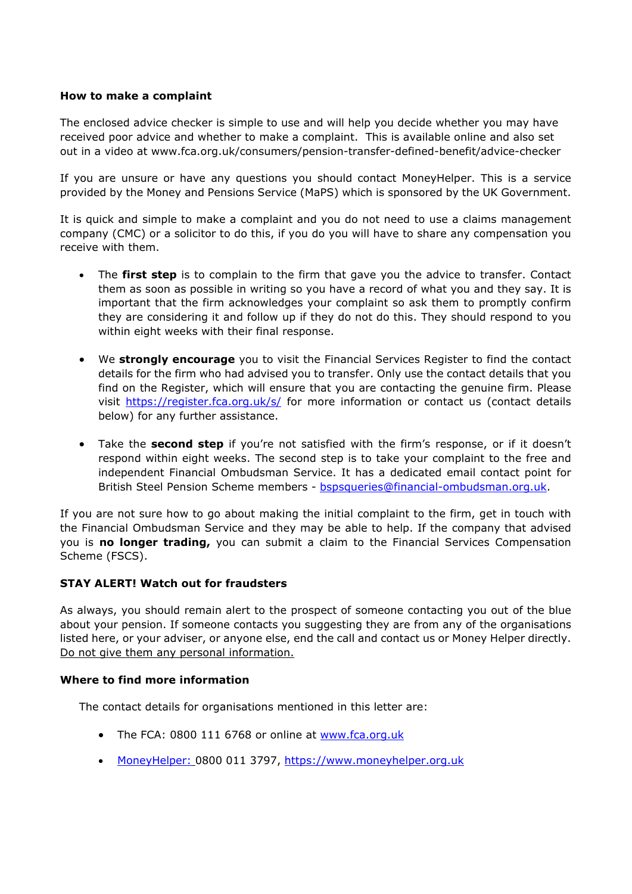## **How to make a complaint**

The enclosed advice checker is simple to use and will help you decide whether you may have received poor advice and whether to make a complaint. This is available online and also set out in a video at www.fca.org.uk/consumers/pension-transfer-defined-benefit/advice-checker

If you are unsure or have any questions you should contact MoneyHelper. This is a service provided by the Money and Pensions Service (MaPS) which is sponsored by the UK Government.

It is quick and simple to make a complaint and you do not need to use a claims management company (CMC) or a solicitor to do this, if you do you will have to share any compensation you receive with them.

- The **first step** is to complain to the firm that gave you the advice to transfer. Contact them as soon as possible in writing so you have a record of what you and they say. It is important that the firm acknowledges your complaint so ask them to promptly confirm they are considering it and follow up if they do not do this. They should respond to you within eight weeks with their final response.
- We **strongly encourage** you to visit the Financial Services Register to find the contact details for the firm who had advised you to transfer. Only use the contact details that you find on the Register, which will ensure that you are contacting the genuine firm. Please visit https://register.fca.org.uk/s/ for more information or contact us (contact details below) for any further assistance.
- Take the **second step** if you're not satisfied with the firm's response, or if it doesn't respond within eight weeks. The second step is to take your complaint to the free and independent Financial Ombudsman Service. It has a dedicated email contact point for British Steel Pension Scheme members - bspsqueries@financial-ombudsman.org.uk.

If you are not sure how to go about making the initial complaint to the firm, get in touch with the Financial Ombudsman Service and they may be able to help. If the company that advised you is **no longer trading,** you can submit a claim to the Financial Services Compensation Scheme (FSCS).

#### **STAY ALERT! Watch out for fraudsters**

As always, you should remain alert to the prospect of someone contacting you out of the blue about your pension. If someone contacts you suggesting they are from any of the organisations listed here, or your adviser, or anyone else, end the call and contact us or Money Helper directly. Do not give them any personal information.

#### **Where to find more information**

The contact details for organisations mentioned in this letter are:

- The FCA: 0800 111 6768 or online at www.fca.org.uk
- MoneyHelper: 0800 011 3797, https://www.moneyhelper.org.uk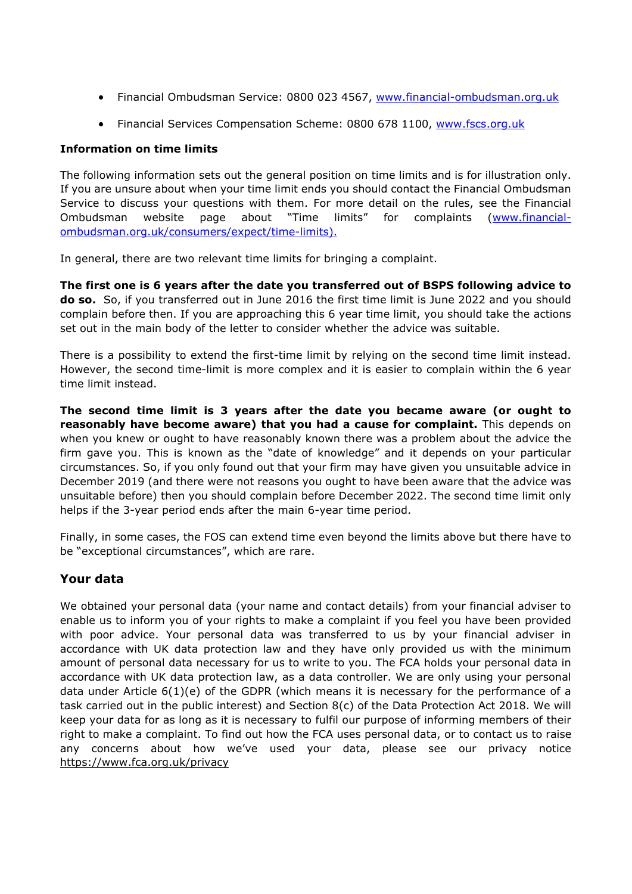- Financial Ombudsman Service: 0800 023 4567, www.financial-ombudsman.org.uk
- Financial Services Compensation Scheme: 0800 678 1100, www.fscs.org.uk

## **Information on time limits**

The following information sets out the general position on time limits and is for illustration only. If you are unsure about when your time limit ends you should contact the Financial Ombudsman Service to discuss your questions with them. For more detail on the rules, see the Financial Ombudsman website page about "Time limits" for complaints (www.financialombudsman.org.uk/consumers/expect/time-limits).

In general, there are two relevant time limits for bringing a complaint.

**The first one is 6 years after the date you transferred out of BSPS following advice to do so.** So, if you transferred out in June 2016 the first time limit is June 2022 and you should complain before then. If you are approaching this 6 year time limit, you should take the actions set out in the main body of the letter to consider whether the advice was suitable.

There is a possibility to extend the first-time limit by relying on the second time limit instead. However, the second time-limit is more complex and it is easier to complain within the 6 year time limit instead.

**The second time limit is 3 years after the date you became aware (or ought to reasonably have become aware) that you had a cause for complaint.** This depends on when you knew or ought to have reasonably known there was a problem about the advice the firm gave you. This is known as the "date of knowledge" and it depends on your particular circumstances. So, if you only found out that your firm may have given you unsuitable advice in December 2019 (and there were not reasons you ought to have been aware that the advice was unsuitable before) then you should complain before December 2022. The second time limit only helps if the 3-year period ends after the main 6-year time period.

Finally, in some cases, the FOS can extend time even beyond the limits above but there have to be "exceptional circumstances", which are rare.

# **Your data**

We obtained your personal data (your name and contact details) from your financial adviser to enable us to inform you of your rights to make a complaint if you feel you have been provided with poor advice. Your personal data was transferred to us by your financial adviser in accordance with UK data protection law and they have only provided us with the minimum amount of personal data necessary for us to write to you. The FCA holds your personal data in accordance with UK data protection law, as a data controller. We are only using your personal data under Article 6(1)(e) of the GDPR (which means it is necessary for the performance of a task carried out in the public interest) and Section 8(c) of the Data Protection Act 2018. We will keep your data for as long as it is necessary to fulfil our purpose of informing members of their right to make a complaint. To find out how the FCA uses personal data, or to contact us to raise any concerns about how we've used your data, please see our privacy notice https://www.fca.org.uk/privacy